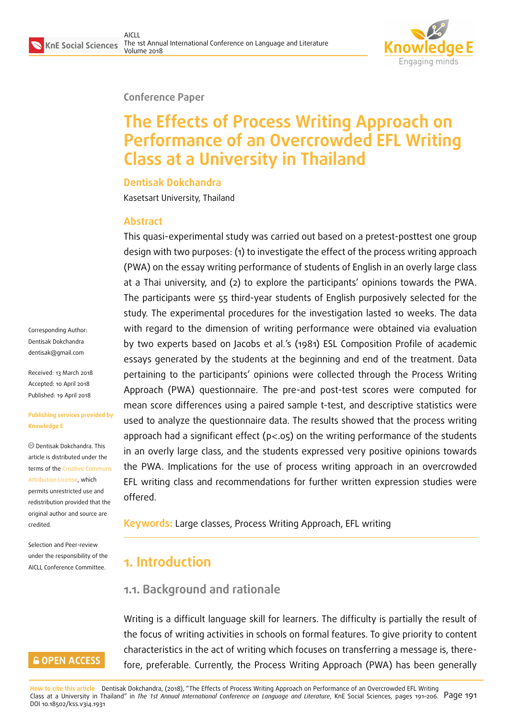

#### **Conference Paper**

# **The Effects of Process Writing Approach on Performance of an Overcrowded EFL Writing Class at a University in Thailand**

#### **Dentisak Dokchandra**

Kasetsart University, Thailand

#### **Abstract**

This quasi-experimental study was carried out based on a pretest-posttest one group design with two purposes: (1) to investigate the effect of the process writing approach (PWA) on the essay writing performance of students of English in an overly large class at a Thai university, and (2) to explore the participants' opinions towards the PWA. The participants were 55 third-year students of English purposively selected for the study. The experimental procedures for the investigation lasted 10 weeks. The data with regard to the dimension of writing performance were obtained via evaluation by two experts based on Jacobs et al.'s (1981) ESL Composition Profile of academic essays generated by the students at the beginning and end of the treatment. Data pertaining to the participants' opinions were collected through the Process Writing Approach (PWA) questionnaire. The pre-and post-test scores were computed for mean score differences using a paired sample t-test, and descriptive statistics were used to analyze the questionnaire data. The results showed that the process writing approach had a significant effect ( $p<0.05$ ) on the writing performance of the students in an overly large class, and the students expressed very positive opinions towards the PWA. Implications for the use of process writing approach in an overcrowded EFL writing class and recommendations for further written expression studies were offered.

**Keywords:** Large classes, Process Writing Approach, EFL writing

## **1. Introduction**

#### **1.1. Background and rationale**

Writing is a difficult language skill for learners. The difficulty is partially the result of the focus of writing activities in schools on formal features. To give priority to content characteristics in the act of writing which focuses on transferring a message is, therefore, preferable. Currently, the Process Writing Approach (PWA) has been generally

**How to cite this article**: Dentisak Dokchandra, (2018), "The Effects of Process Writing Approach on Performance of an Overcrowded EFL Writing Class at a University in Thailand" in *The 1st Annual International Conference on Language and Literature*, KnE Social Sciences, pages 191–206. Page 191 DOI 10.18502/kss.v3i4.1931

Corresponding Author: Dentisak Dokchandra dentisak@gmail.com

Received: 13 March 2018 Accepted: 10 April 2018 [Published: 19 April 20](mailto:dentisak@gmail.com)18

#### **Publishing services provided by Knowledge E**

Dentisak Dokchandra. This article is distributed under the terms of the Creative Commons Attribution License, which permits unrestricted use and redistribution provided that the original auth[or and source are](https://creativecommons.org/licenses/by/4.0/) [credited.](https://creativecommons.org/licenses/by/4.0/)

Selection and Peer-review under the responsibility of the AICLL Conference Committee.

### **GOPEN ACCESS**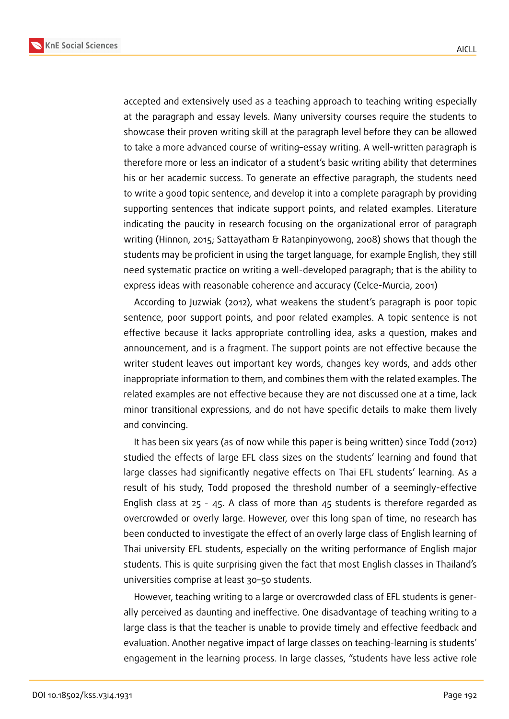**KnE Social Sciences**



accepted and extensively used as a teaching approach to teaching writing especially at the paragraph and essay levels. Many university courses require the students to showcase their proven writing skill at the paragraph level before they can be allowed to take a more advanced course of writing–essay writing. A well-written paragraph is therefore more or less an indicator of a student's basic writing ability that determines his or her academic success. To generate an effective paragraph, the students need to write a good topic sentence, and develop it into a complete paragraph by providing supporting sentences that indicate support points, and related examples. Literature indicating the paucity in research focusing on the organizational error of paragraph writing (Hinnon, 2015; Sattayatham & Ratanpinyowong, 2008) shows that though the students may be proficient in using the target language, for example English, they still need systematic practice on writing a well-developed paragraph; that is the ability to express ideas with reasonable coherence and accuracy (Celce-Murcia, 2001)

According to Juzwiak (2012), what weakens the student's paragraph is poor topic sentence, poor support points, and poor related examples. A topic sentence is not effective because it lacks appropriate controlling idea, asks a question, makes and announcement, and is a fragment. The support points are not effective because the writer student leaves out important key words, changes key words, and adds other inappropriate information to them, and combines them with the related examples. The related examples are not effective because they are not discussed one at a time, lack minor transitional expressions, and do not have specific details to make them lively and convincing.

It has been six years (as of now while this paper is being written) since Todd (2012) studied the effects of large EFL class sizes on the students' learning and found that large classes had significantly negative effects on Thai EFL students' learning. As a result of his study, Todd proposed the threshold number of a seemingly-effective English class at 25 - 45. A class of more than 45 students is therefore regarded as overcrowded or overly large. However, over this long span of time, no research has been conducted to investigate the effect of an overly large class of English learning of Thai university EFL students, especially on the writing performance of English major students. This is quite surprising given the fact that most English classes in Thailand's universities comprise at least 30–50 students.

However, teaching writing to a large or overcrowded class of EFL students is generally perceived as daunting and ineffective. One disadvantage of teaching writing to a large class is that the teacher is unable to provide timely and effective feedback and evaluation. Another negative impact of large classes on teaching-learning is students' engagement in the learning process. In large classes, "students have less active role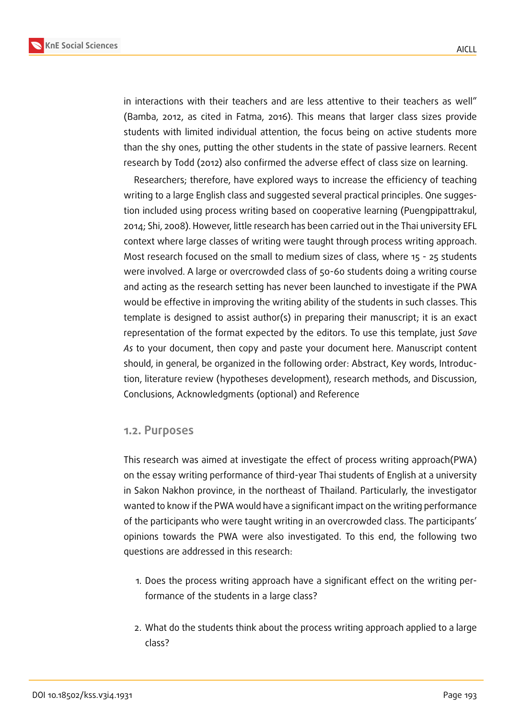

in interactions with their teachers and are less attentive to their teachers as well" (Bamba, 2012, as cited in Fatma, 2016). This means that larger class sizes provide students with limited individual attention, the focus being on active students more than the shy ones, putting the other students in the state of passive learners. Recent research by Todd (2012) also confirmed the adverse effect of class size on learning.

Researchers; therefore, have explored ways to increase the efficiency of teaching writing to a large English class and suggested several practical principles. One suggestion included using process writing based on cooperative learning (Puengpipattrakul, 2014; Shi, 2008). However, little research has been carried out in the Thai university EFL context where large classes of writing were taught through process writing approach. Most research focused on the small to medium sizes of class, where 15 - 25 students were involved. A large or overcrowded class of 50-60 students doing a writing course and acting as the research setting has never been launched to investigate if the PWA would be effective in improving the writing ability of the students in such classes. This template is designed to assist author(s) in preparing their manuscript; it is an exact representation of the format expected by the editors. To use this template, just *Save As* to your document, then copy and paste your document here. Manuscript content should, in general, be organized in the following order: Abstract, Key words, Introduction, literature review (hypotheses development), research methods, and Discussion, Conclusions, Acknowledgments (optional) and Reference

#### **1.2. Purposes**

This research was aimed at investigate the effect of process writing approach(PWA) on the essay writing performance of third-year Thai students of English at a university in Sakon Nakhon province, in the northeast of Thailand. Particularly, the investigator wanted to know if the PWA would have a significant impact on the writing performance of the participants who were taught writing in an overcrowded class. The participants' opinions towards the PWA were also investigated. To this end, the following two questions are addressed in this research:

- 1. Does the process writing approach have a significant effect on the writing performance of the students in a large class?
- 2. What do the students think about the process writing approach applied to a large class?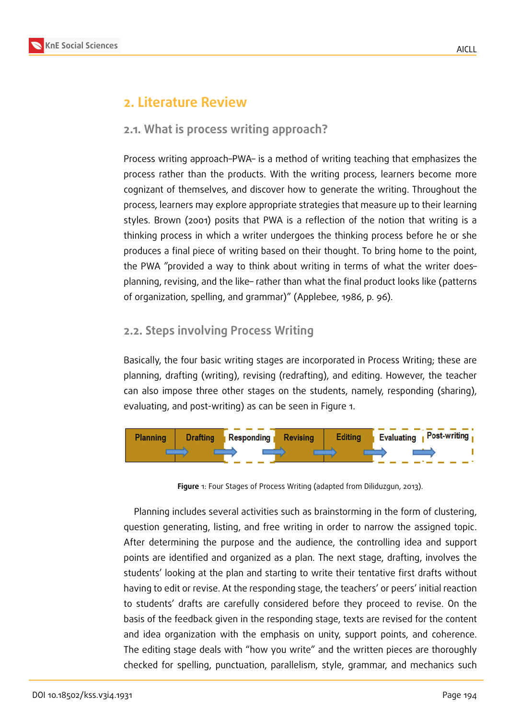### **2. Literature Review**

#### **2.1. What is process writing approach?**

Process writing approach–PWA– is a method of writing teaching that emphasizes the process rather than the products. With the writing process, learners become more cognizant of themselves, and discover how to generate the writing. Throughout the process, learners may explore appropriate strategies that measure up to their learning styles. Brown (2001) posits that PWA is a reflection of the notion that writing is a thinking process in which a writer undergoes the thinking process before he or she produces a final piece of writing based on their thought. To bring home to the point, the PWA "provided a way to think about writing in terms of what the writer does– planning, revising, and the like– rather than what the final product looks like (patterns of organization, spelling, and grammar)" (Applebee, 1986, p. 96).

#### **2.2. Steps involving Process Writing**

Basically, the four basic writing stages are incorporated in Process Writing; these are planning, drafting (writing), revising (redrafting), and editing. However, the teacher can also impose three other stages on the students, namely, responding (sharing), evaluating, and post-writing) as can be seen in Figure 1.



**Figure** 1: Four Stages of Process Writing (adapted from Diliduzgun, 2013).

Planning includes several activities such as brainstorming in the form of clustering, question generating, listing, and free writing in order to narrow the assigned topic. After determining the purpose and the audience, the controlling idea and support points are identified and organized as a plan. The next stage, drafting, involves the students' looking at the plan and starting to write their tentative first drafts without having to edit or revise. At the responding stage, the teachers' or peers' initial reaction to students' drafts are carefully considered before they proceed to revise. On the basis of the feedback given in the responding stage, texts are revised for the content and idea organization with the emphasis on unity, support points, and coherence. The editing stage deals with "how you write" and the written pieces are thoroughly checked for spelling, punctuation, parallelism, style, grammar, and mechanics such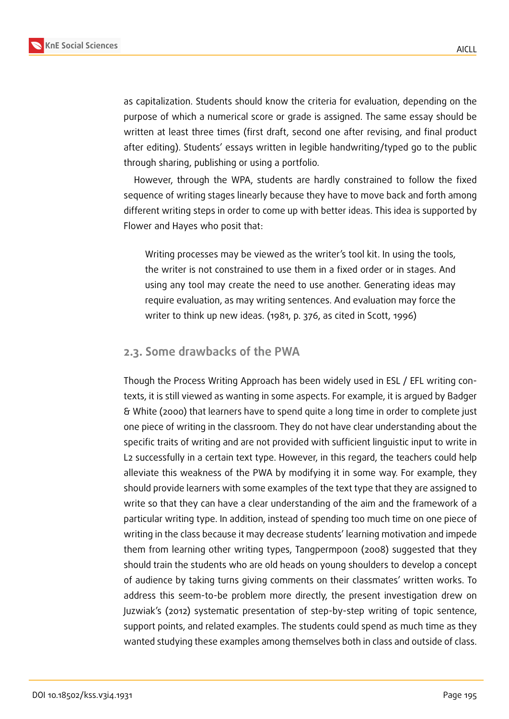

as capitalization. Students should know the criteria for evaluation, depending on the purpose of which a numerical score or grade is assigned. The same essay should be written at least three times (first draft, second one after revising, and final product after editing). Students' essays written in legible handwriting/typed go to the public through sharing, publishing or using a portfolio.

However, through the WPA, students are hardly constrained to follow the fixed sequence of writing stages linearly because they have to move back and forth among different writing steps in order to come up with better ideas. This idea is supported by Flower and Hayes who posit that:

Writing processes may be viewed as the writer's tool kit. In using the tools, the writer is not constrained to use them in a fixed order or in stages. And using any tool may create the need to use another. Generating ideas may require evaluation, as may writing sentences. And evaluation may force the writer to think up new ideas. (1981, p. 376, as cited in Scott, 1996)

#### **2.3. Some drawbacks of the PWA**

Though the Process Writing Approach has been widely used in ESL / EFL writing contexts, it is still viewed as wanting in some aspects. For example, it is argued by Badger & White (2000) that learners have to spend quite a long time in order to complete just one piece of writing in the classroom. They do not have clear understanding about the specific traits of writing and are not provided with sufficient linguistic input to write in L2 successfully in a certain text type. However, in this regard, the teachers could help alleviate this weakness of the PWA by modifying it in some way. For example, they should provide learners with some examples of the text type that they are assigned to write so that they can have a clear understanding of the aim and the framework of a particular writing type. In addition, instead of spending too much time on one piece of writing in the class because it may decrease students' learning motivation and impede them from learning other writing types, Tangpermpoon (2008) suggested that they should train the students who are old heads on young shoulders to develop a concept of audience by taking turns giving comments on their classmates' written works. To address this seem-to-be problem more directly, the present investigation drew on Juzwiak's (2012) systematic presentation of step-by-step writing of topic sentence, support points, and related examples. The students could spend as much time as they wanted studying these examples among themselves both in class and outside of class.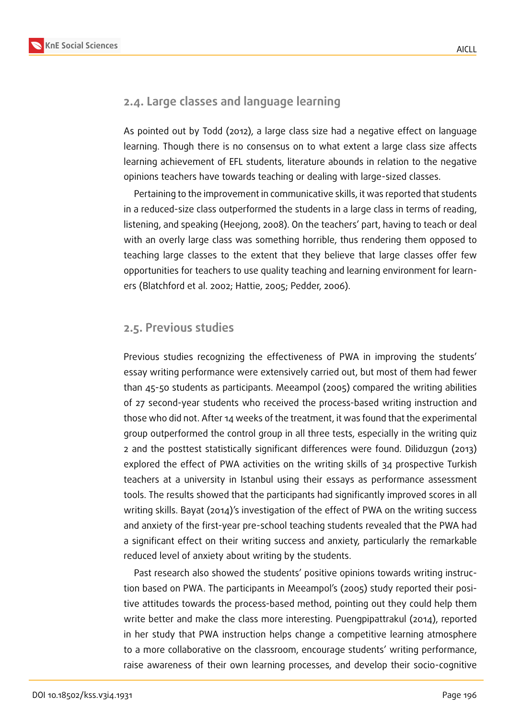### **2.4. Large classes and language learning**

As pointed out by Todd (2012), a large class size had a negative effect on language learning. Though there is no consensus on to what extent a large class size affects learning achievement of EFL students, literature abounds in relation to the negative opinions teachers have towards teaching or dealing with large-sized classes.

Pertaining to the improvement in communicative skills, it was reported that students in a reduced-size class outperformed the students in a large class in terms of reading, listening, and speaking (Heejong, 2008). On the teachers' part, having to teach or deal with an overly large class was something horrible, thus rendering them opposed to teaching large classes to the extent that they believe that large classes offer few opportunities for teachers to use quality teaching and learning environment for learners (Blatchford et al. 2002; Hattie, 2005; Pedder, 2006).

#### **2.5. Previous studies**

Previous studies recognizing the effectiveness of PWA in improving the students' essay writing performance were extensively carried out, but most of them had fewer than 45-50 students as participants. Meeampol (2005) compared the writing abilities of 27 second-year students who received the process-based writing instruction and those who did not. After 14 weeks of the treatment, it was found that the experimental group outperformed the control group in all three tests, especially in the writing quiz 2 and the posttest statistically significant differences were found. Diliduzgun (2013) explored the effect of PWA activities on the writing skills of 34 prospective Turkish teachers at a university in Istanbul using their essays as performance assessment tools. The results showed that the participants had significantly improved scores in all writing skills. Bayat (2014)'s investigation of the effect of PWA on the writing success and anxiety of the first-year pre-school teaching students revealed that the PWA had a significant effect on their writing success and anxiety, particularly the remarkable reduced level of anxiety about writing by the students.

Past research also showed the students' positive opinions towards writing instruction based on PWA. The participants in Meeampol's (2005) study reported their positive attitudes towards the process-based method, pointing out they could help them write better and make the class more interesting. Puengpipattrakul (2014), reported in her study that PWA instruction helps change a competitive learning atmosphere to a more collaborative on the classroom, encourage students' writing performance, raise awareness of their own learning processes, and develop their socio-cognitive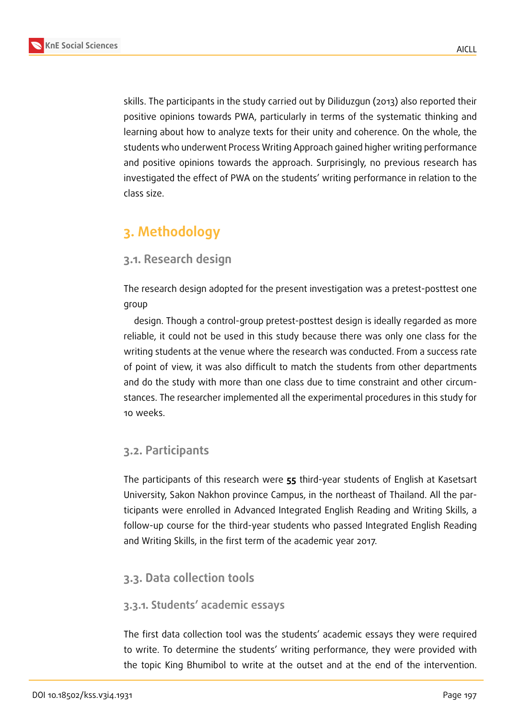AICLL

skills. The participants in the study carried out by Diliduzgun (2013) also reported their positive opinions towards PWA, particularly in terms of the systematic thinking and learning about how to analyze texts for their unity and coherence. On the whole, the students who underwent Process Writing Approach gained higher writing performance and positive opinions towards the approach. Surprisingly, no previous research has investigated the effect of PWA on the students' writing performance in relation to the class size.

## **3. Methodology**

### **3.1. Research design**

The research design adopted for the present investigation was a pretest-posttest one group

design. Though a control-group pretest-posttest design is ideally regarded as more reliable, it could not be used in this study because there was only one class for the writing students at the venue where the research was conducted. From a success rate of point of view, it was also difficult to match the students from other departments and do the study with more than one class due to time constraint and other circumstances. The researcher implemented all the experimental procedures in this study for 10 weeks.

### **3.2. Participants**

The participants of this research were **55** third-year students of English at Kasetsart University, Sakon Nakhon province Campus, in the northeast of Thailand. All the participants were enrolled in Advanced Integrated English Reading and Writing Skills, a follow-up course for the third-year students who passed Integrated English Reading and Writing Skills, in the first term of the academic year 2017.

### **3.3. Data collection tools**

#### **3.3.1. Students' academic essays**

The first data collection tool was the students' academic essays they were required to write. To determine the students' writing performance, they were provided with the topic King Bhumibol to write at the outset and at the end of the intervention.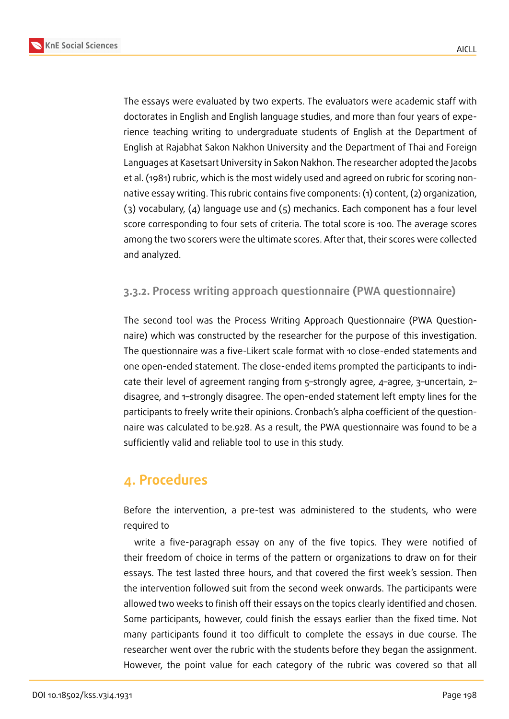

The essays were evaluated by two experts. The evaluators were academic staff with doctorates in English and English language studies, and more than four years of experience teaching writing to undergraduate students of English at the Department of English at Rajabhat Sakon Nakhon University and the Department of Thai and Foreign Languages at Kasetsart University in Sakon Nakhon. The researcher adopted the Jacobs et al. (1981) rubric, which is the most widely used and agreed on rubric for scoring nonnative essay writing. This rubric contains five components: (1) content, (2) organization, (3) vocabulary, (4) language use and (5) mechanics. Each component has a four level score corresponding to four sets of criteria. The total score is 100. The average scores among the two scorers were the ultimate scores. After that, their scores were collected and analyzed.

#### **3.3.2. Process writing approach questionnaire (PWA questionnaire)**

The second tool was the Process Writing Approach Questionnaire (PWA Questionnaire) which was constructed by the researcher for the purpose of this investigation. The questionnaire was a five-Likert scale format with 10 close-ended statements and one open-ended statement. The close-ended items prompted the participants to indicate their level of agreement ranging from 5–strongly agree, 4–agree, 3–uncertain, 2– disagree, and 1–strongly disagree. The open-ended statement left empty lines for the participants to freely write their opinions. Cronbach's alpha coefficient of the questionnaire was calculated to be.928. As a result, the PWA questionnaire was found to be a sufficiently valid and reliable tool to use in this study.

## **4. Procedures**

Before the intervention, a pre-test was administered to the students, who were required to

write a five-paragraph essay on any of the five topics. They were notified of their freedom of choice in terms of the pattern or organizations to draw on for their essays. The test lasted three hours, and that covered the first week's session. Then the intervention followed suit from the second week onwards. The participants were allowed two weeks to finish off their essays on the topics clearly identified and chosen. Some participants, however, could finish the essays earlier than the fixed time. Not many participants found it too difficult to complete the essays in due course. The researcher went over the rubric with the students before they began the assignment. However, the point value for each category of the rubric was covered so that all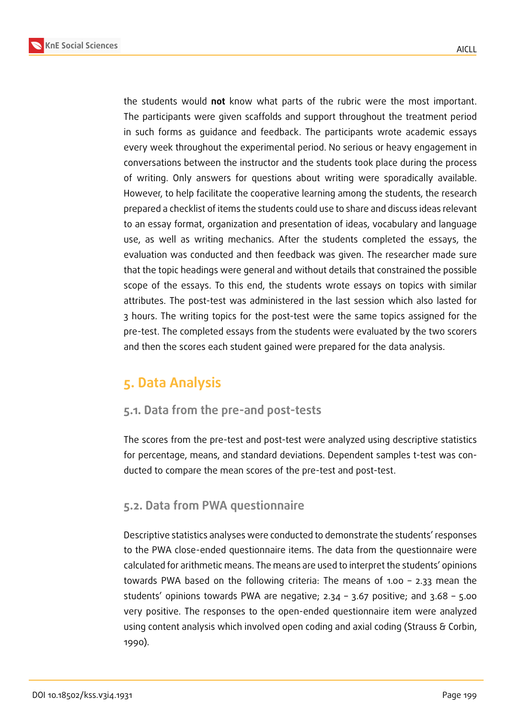

the students would **not** know what parts of the rubric were the most important. The participants were given scaffolds and support throughout the treatment period in such forms as guidance and feedback. The participants wrote academic essays every week throughout the experimental period. No serious or heavy engagement in conversations between the instructor and the students took place during the process of writing. Only answers for questions about writing were sporadically available. However, to help facilitate the cooperative learning among the students, the research prepared a checklist of items the students could use to share and discuss ideas relevant to an essay format, organization and presentation of ideas, vocabulary and language use, as well as writing mechanics. After the students completed the essays, the evaluation was conducted and then feedback was given. The researcher made sure that the topic headings were general and without details that constrained the possible scope of the essays. To this end, the students wrote essays on topics with similar attributes. The post-test was administered in the last session which also lasted for 3 hours. The writing topics for the post-test were the same topics assigned for the pre-test. The completed essays from the students were evaluated by the two scorers and then the scores each student gained were prepared for the data analysis.

## **5. Data Analysis**

### **5.1. Data from the pre-and post-tests**

The scores from the pre-test and post-test were analyzed using descriptive statistics for percentage, means, and standard deviations. Dependent samples t-test was conducted to compare the mean scores of the pre-test and post-test.

### **5.2. Data from PWA questionnaire**

Descriptive statistics analyses were conducted to demonstrate the students' responses to the PWA close-ended questionnaire items. The data from the questionnaire were calculated for arithmetic means. The means are used to interpret the students' opinions towards PWA based on the following criteria: The means of 1.00 – 2.33 mean the students' opinions towards PWA are negative; 2.34 – 3.67 positive; and 3.68 – 5.00 very positive. The responses to the open-ended questionnaire item were analyzed using content analysis which involved open coding and axial coding (Strauss & Corbin, 1990).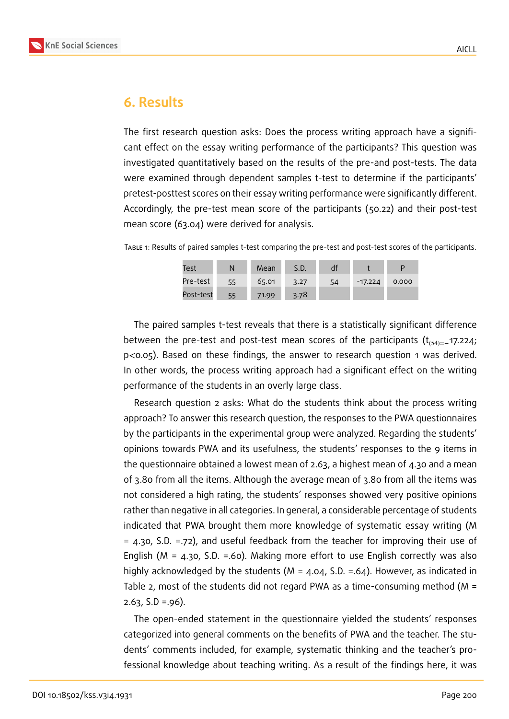

### **6. Results**

The first research question asks: Does the process writing approach have a significant effect on the essay writing performance of the participants? This question was investigated quantitatively based on the results of the pre-and post-tests. The data were examined through dependent samples t-test to determine if the participants' pretest-posttest scores on their essay writing performance were significantly different. Accordingly, the pre-test mean score of the participants (50.22) and their post-test mean score (63.04) were derived for analysis.

Table 1: Results of paired samples t-test comparing the pre-test and post-test scores of the participants.

| Test      | N  | Mean  | S.D. | αī |           |       |
|-----------|----|-------|------|----|-----------|-------|
| Pre-test  | 55 | 65.01 | 3.27 | 54 | $-17.224$ | 0.000 |
| Post-test | 55 | 71.99 | 3.78 |    |           |       |

The paired samples t-test reveals that there is a statistically significant difference between the pre-test and post-test mean scores of the participants  $(t_{(54)=-17.224)}$ p<0.05). Based on these findings, the answer to research question 1 was derived. In other words, the process writing approach had a significant effect on the writing performance of the students in an overly large class.

Research question 2 asks: What do the students think about the process writing approach? To answer this research question, the responses to the PWA questionnaires by the participants in the experimental group were analyzed. Regarding the students' opinions towards PWA and its usefulness, the students' responses to the 9 items in the questionnaire obtained a lowest mean of 2.63, a highest mean of 4.30 and a mean of 3.80 from all the items. Although the average mean of 3.80 from all the items was not considered a high rating, the students' responses showed very positive opinions rather than negative in all categories. In general, a considerable percentage of students indicated that PWA brought them more knowledge of systematic essay writing (M = 4.30, S.D. =.72), and useful feedback from the teacher for improving their use of English ( $M = 4.3$ o, S.D. =.60). Making more effort to use English correctly was also highly acknowledged by the students ( $M = 4.04$ , S.D. = .64). However, as indicated in Table 2, most of the students did not regard PWA as a time-consuming method (M =  $2.63, S.D = .96$ ).

The open-ended statement in the questionnaire yielded the students' responses categorized into general comments on the benefits of PWA and the teacher. The students' comments included, for example, systematic thinking and the teacher's professional knowledge about teaching writing. As a result of the findings here, it was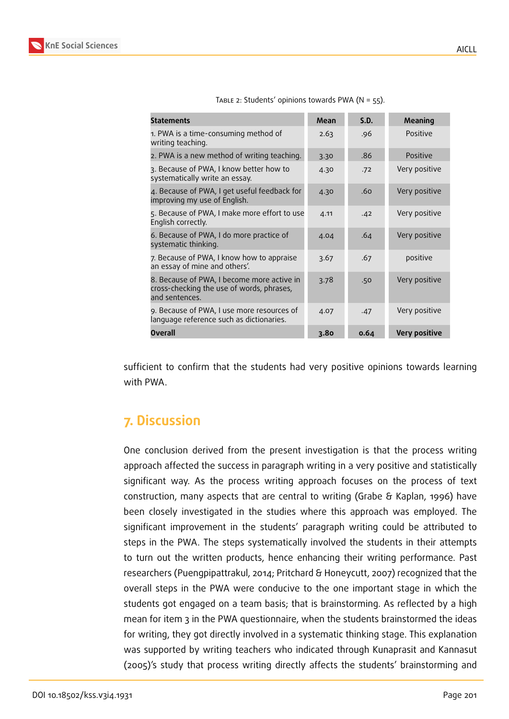

| <b>Statements</b>                                                                                         | Mean | S.D. | Meaning              |
|-----------------------------------------------------------------------------------------------------------|------|------|----------------------|
| 1. PWA is a time-consuming method of<br>writing teaching.                                                 | 2.63 | .96  | Positive             |
| 2. PWA is a new method of writing teaching.                                                               | 3.30 | .86  | Positive             |
| 3. Because of PWA, I know better how to<br>systematically write an essay.                                 | 4.30 | .72  | Very positive        |
| 4. Because of PWA, I get useful feedback for<br>improving my use of English.                              | 4.30 | .60  | Very positive        |
| 5. Because of PWA, I make more effort to use<br>English correctly.                                        | 4.11 | .42  | Very positive        |
| 6. Because of PWA, I do more practice of<br>systematic thinking.                                          | 4.04 | .64  | Very positive        |
| 7. Because of PWA, I know how to appraise<br>an essay of mine and others'.                                | 3.67 | .67  | positive             |
| 8. Because of PWA, I become more active in<br>cross-checking the use of words, phrases,<br>and sentences. | 3.78 | .50  | Very positive        |
| 9. Because of PWA, I use more resources of<br>language reference such as dictionaries.                    | 4.07 | .47  | Very positive        |
| <b>Overall</b>                                                                                            | 3.80 | 0.64 | <b>Very positive</b> |

TABLE 2: Students' opinions towards PWA ( $N = 55$ ).

sufficient to confirm that the students had very positive opinions towards learning with PWA.

## **7. Discussion**

One conclusion derived from the present investigation is that the process writing approach affected the success in paragraph writing in a very positive and statistically significant way. As the process writing approach focuses on the process of text construction, many aspects that are central to writing (Grabe & Kaplan, 1996) have been closely investigated in the studies where this approach was employed. The significant improvement in the students' paragraph writing could be attributed to steps in the PWA. The steps systematically involved the students in their attempts to turn out the written products, hence enhancing their writing performance. Past researchers (Puengpipattrakul, 2014; Pritchard & Honeycutt, 2007) recognized that the overall steps in the PWA were conducive to the one important stage in which the students got engaged on a team basis; that is brainstorming. As reflected by a high mean for item 3 in the PWA questionnaire, when the students brainstormed the ideas for writing, they got directly involved in a systematic thinking stage. This explanation was supported by writing teachers who indicated through Kunaprasit and Kannasut (2005)'s study that process writing directly affects the students' brainstorming and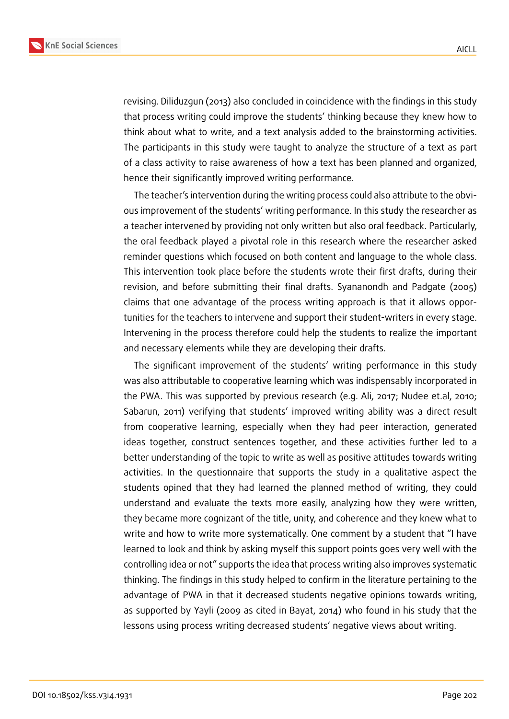

**KnE Social Sciences**

revising. Diliduzgun (2013) also concluded in coincidence with the findings in this study that process writing could improve the students' thinking because they knew how to think about what to write, and a text analysis added to the brainstorming activities. The participants in this study were taught to analyze the structure of a text as part of a class activity to raise awareness of how a text has been planned and organized, hence their significantly improved writing performance.

The teacher's intervention during the writing process could also attribute to the obvious improvement of the students' writing performance. In this study the researcher as a teacher intervened by providing not only written but also oral feedback. Particularly, the oral feedback played a pivotal role in this research where the researcher asked reminder questions which focused on both content and language to the whole class. This intervention took place before the students wrote their first drafts, during their revision, and before submitting their final drafts. Syananondh and Padgate (2005) claims that one advantage of the process writing approach is that it allows opportunities for the teachers to intervene and support their student-writers in every stage. Intervening in the process therefore could help the students to realize the important and necessary elements while they are developing their drafts.

The significant improvement of the students' writing performance in this study was also attributable to cooperative learning which was indispensably incorporated in the PWA. This was supported by previous research (e.g. Ali, 2017; Nudee et.al, 2010; Sabarun, 2011) verifying that students' improved writing ability was a direct result from cooperative learning, especially when they had peer interaction, generated ideas together, construct sentences together, and these activities further led to a better understanding of the topic to write as well as positive attitudes towards writing activities. In the questionnaire that supports the study in a qualitative aspect the students opined that they had learned the planned method of writing, they could understand and evaluate the texts more easily, analyzing how they were written, they became more cognizant of the title, unity, and coherence and they knew what to write and how to write more systematically. One comment by a student that "I have learned to look and think by asking myself this support points goes very well with the controlling idea or not" supports the idea that process writing also improves systematic thinking. The findings in this study helped to confirm in the literature pertaining to the advantage of PWA in that it decreased students negative opinions towards writing, as supported by Yayli (2009 as cited in Bayat, 2014) who found in his study that the lessons using process writing decreased students' negative views about writing.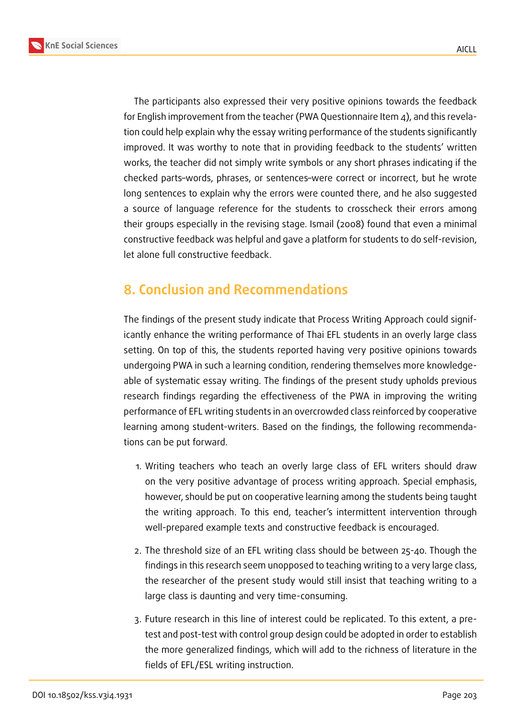



The participants also expressed their very positive opinions towards the feedback for English improvement from the teacher (PWA Questionnaire Item  $\Delta$ ), and this revelation could help explain why the essay writing performance of the students significantly improved. It was worthy to note that in providing feedback to the students' written works, the teacher did not simply write symbols or any short phrases indicating if the checked parts–words, phrases, or sentences–were correct or incorrect, but he wrote long sentences to explain why the errors were counted there, and he also suggested a source of language reference for the students to crosscheck their errors among their groups especially in the revising stage. Ismail (2008) found that even a minimal constructive feedback was helpful and gave a platform for students to do self-revision, let alone full constructive feedback.

### **8. Conclusion and Recommendations**

The findings of the present study indicate that Process Writing Approach could significantly enhance the writing performance of Thai EFL students in an overly large class setting. On top of this, the students reported having very positive opinions towards undergoing PWA in such a learning condition, rendering themselves more knowledgeable of systematic essay writing. The findings of the present study upholds previous research findings regarding the effectiveness of the PWA in improving the writing performance of EFL writing students in an overcrowded class reinforced by cooperative learning among student-writers. Based on the findings, the following recommendations can be put forward.

- 1. Writing teachers who teach an overly large class of EFL writers should draw on the very positive advantage of process writing approach. Special emphasis, however, should be put on cooperative learning among the students being taught the writing approach. To this end, teacher's intermittent intervention through well-prepared example texts and constructive feedback is encouraged.
- 2. The threshold size of an EFL writing class should be between 25-40. Though the findings in this research seem unopposed to teaching writing to a very large class, the researcher of the present study would still insist that teaching writing to a large class is daunting and very time-consuming.
- 3. Future research in this line of interest could be replicated. To this extent, a pretest and post-test with control group design could be adopted in order to establish the more generalized findings, which will add to the richness of literature in the fields of EFL/ESL writing instruction.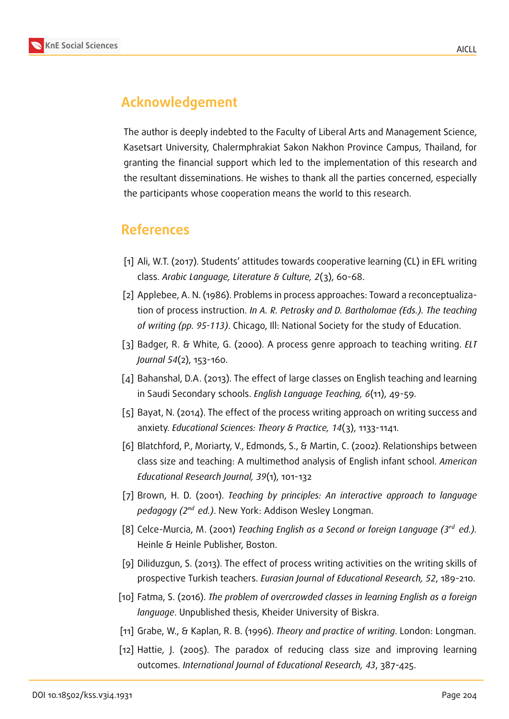

## **Acknowledgement**

The author is deeply indebted to the Faculty of Liberal Arts and Management Science, Kasetsart University, Chalermphrakiat Sakon Nakhon Province Campus, Thailand, for granting the financial support which led to the implementation of this research and the resultant disseminations. He wishes to thank all the parties concerned, especially the participants whose cooperation means the world to this research.

### **References**

- [1] Ali, W.T. (2017). Students' attitudes towards cooperative learning (CL) in EFL writing class. *Arabic Language, Literature & Culture, 2*(3), 60-68.
- [2] Applebee, A. N. (1986). Problems in process approaches: Toward a reconceptualization of process instruction. *In A. R. Petrosky and D. Bartholomae (Eds.). The teaching of writing (pp. 95-113)*. Chicago, Ill: National Society for the study of Education.
- [3] Badger, R. & White, G. (2000). A process genre approach to teaching writing. *ELT Journal 54*(2), 153-160.
- [4] Bahanshal, D.A. (2013). The effect of large classes on English teaching and learning in Saudi Secondary schools. *English Language Teaching, 6*(11), 49-59.
- [5] Bayat, N. (2014). The effect of the process writing approach on writing success and anxiety. *Educational Sciences: Theory & Practice, 14*(3), 1133-1141.
- [6] Blatchford, P., Moriarty, V., Edmonds, S., & Martin, C. (2002). Relationships between class size and teaching: A multimethod analysis of English infant school. *American Educational Research Journal, 39*(1), 101-132
- [7] Brown, H. D. (2001). *Teaching by principles: An interactive approach to language pedagogy (2 ed.)*. New York: Addison Wesley Longman.
- [8] Celce-Murcia, M. (2001) *Teaching English as a Second or foreign Language (3<sup>rd</sup> ed.).* Heinle & Heinle Publisher, Boston.
- [9] Diliduzgun, S. (2013). The effect of process writing activities on the writing skills of prospective Turkish teachers. *Eurasian Journal of Educational Research, 52*, 189-210.
- [10] Fatma, S. (2016). *The problem of overcrowded classes in learning English as a foreign language*. Unpublished thesis, Kheider University of Biskra.
- [11] Grabe, W., & Kaplan, R. B. (1996). *Theory and practice of writing*. London: Longman.
- [12] Hattie, J. (2005). The paradox of reducing class size and improving learning outcomes. *International Journal of Educational Research, 43*, 387-425.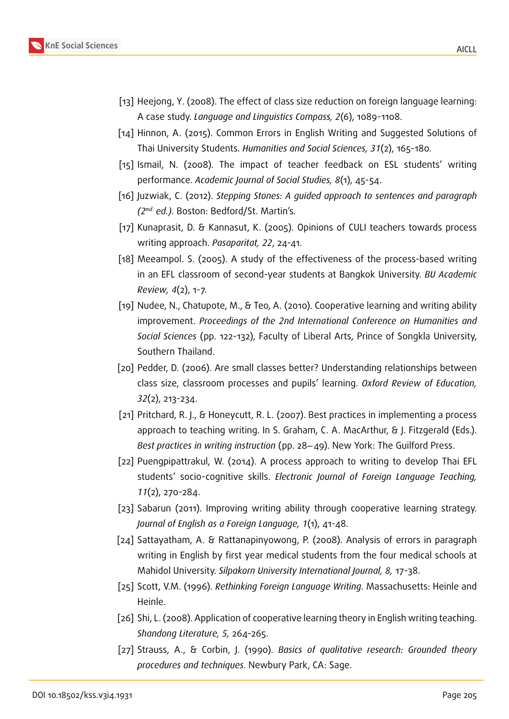

- [13] Heejong, Y. (2008). The effect of class size reduction on foreign language learning: A case study. *Language and Linguistics Compass, 2*(6), 1089-1108.
- [14] Hinnon, A. (2015). Common Errors in English Writing and Suggested Solutions of Thai University Students. *Humanities and Social Sciences, 31*(2), 165-180.
- [15] Ismail, N. (2008). The impact of teacher feedback on ESL students' writing performance. *Academic Journal of Social Studies, 8*(1), 45-54.
- [16] Juzwiak, C. (2012). *Stepping Stones: A guided approach to sentences and paragraph (2 ed.)*. Boston: Bedford/St. Martin's.
- [17] Kunaprasit, D. & Kannasut, K. (2005). Opinions of CULI teachers towards process writing approach. *Pasaparitat, 22*, 24-41.
- [18] Meeampol. S. (2005). A study of the effectiveness of the process-based writing in an EFL classroom of second-year students at Bangkok University. *BU Academic Review, 4*(2), 1-7.
- [19] Nudee, N., Chatupote, M., & Teo, A. (2010). Cooperative learning and writing ability improvement. *Proceedings of the 2nd International Conference on Humanities and Social Sciences* (pp. 122-132), Faculty of Liberal Arts, Prince of Songkla University, Southern Thailand.
- [20] Pedder, D. (2006). Are small classes better? Understanding relationships between class size, classroom processes and pupils' learning. *Oxford Review of Education, 32*(2), 213-234.
- [21] Pritchard, R. J., & Honeycutt, R. L. (2007). Best practices in implementing a process approach to teaching writing. In S. Graham, C. A. MacArthur, & J. Fitzgerald (Eds.). *Best practices in writing instruction* (pp. 28−49). New York: The Guilford Press.
- [22] Puengpipattrakul, W. (2014). A process approach to writing to develop Thai EFL students' socio-cognitive skills. *Electronic Journal of Foreign Language Teaching, 11*(2), 270-284.
- [23] Sabarun (2011). Improving writing ability through cooperative learning strategy. *Journal of English as a Foreign Language, 1*(1), 41-48.
- [24] Sattayatham, A. & Rattanapinyowong, P. (2008). Analysis of errors in paragraph writing in English by first year medical students from the four medical schools at Mahidol University. *Silpakorn University International Journal, 8,* 17-38.
- [25] Scott, V.M. (1996). *Rethinking Foreign Language Writing*. Massachusetts: Heinle and Heinle.
- [26] Shi, L. (2008). Application of cooperative learning theory in English writing teaching. *Shandong Literature, 5,* 264-265.
- [27] Strauss, A., & Corbin, J. (1990). *Basics of qualitative research: Grounded theory procedures and techniques*. Newbury Park, CA: Sage.